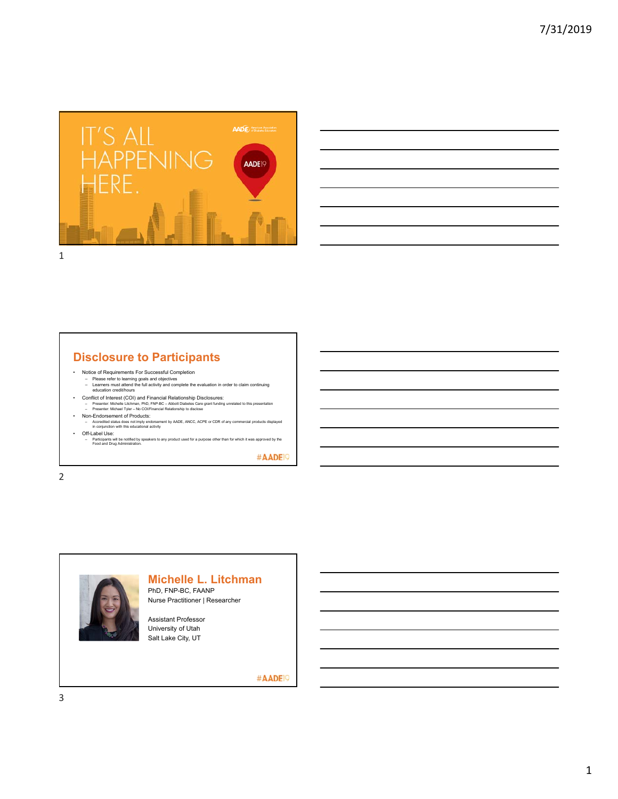

| ,我们就会在这里,我们的人们就会在这里,我们的人们就会在这里,我们的人们就会在这里,我们的人们就会在这里,我们的人们就会在这里,我们的人们就会在这里,我们的人们                                                                                     |  |
|----------------------------------------------------------------------------------------------------------------------------------------------------------------------|--|
|                                                                                                                                                                      |  |
| <u> Andreas Andreas Andreas Andreas Andreas Andreas Andreas Andreas Andreas Andreas Andreas Andreas Andreas Andr</u>                                                 |  |
|                                                                                                                                                                      |  |
|                                                                                                                                                                      |  |
| and the contract of the contract of the contract of the contract of the contract of the contract of the contract of                                                  |  |
|                                                                                                                                                                      |  |
| ,一个人的人都是一个人的人,但是我们的人,我们也不会不会不会。""我们的人,我们也不会不会不会。""我们的人,我们也不会不会不会。""我们的人,我们也不会不会不<br>第一百一章 第一百一章 第一百一章 第一百一章 第一百一章 第一百一章 第一百一章 第一百一章 第一百一章 第一百一章 第一百一章 第一百一章 第一百一章 第一 |  |

## **Disclosure to Participants**

- 
- Notice of Requirements For Successful Completion Please refer to learning goals and objectives Learners must attend the full activity and complete the evaluation in order to claim continuing education credit/hours
- Conflict of Interest (COI) and Financial Relationship Disclosures:<br>- Presenter: Michelle Litchman, PhD, FNP-BO Abott Diabetes Care grant funding unrelated to this presentation<br>- Presenter: Michael Tyler No COI/Finan
- Non-Endorsement of Products:
- Accredited status does not imply endorsement by AADE, ANCC, ACPE or CDR of any commercial products displayed in conjunction with this educational activity • Off-Label Use:
	-
	- Participants will be notified by speakers to any product used for a purpose other than for which it was approved by the Food and Drug Administration.

#AADE<sup>19</sup>

2



# **Michelle L. Litchman**

PhD, FNP-BC, FAANP Nurse Practitioner | Researcher

Assistant Professor University of Utah Salt Lake City, UT

#AADE<sup>19</sup>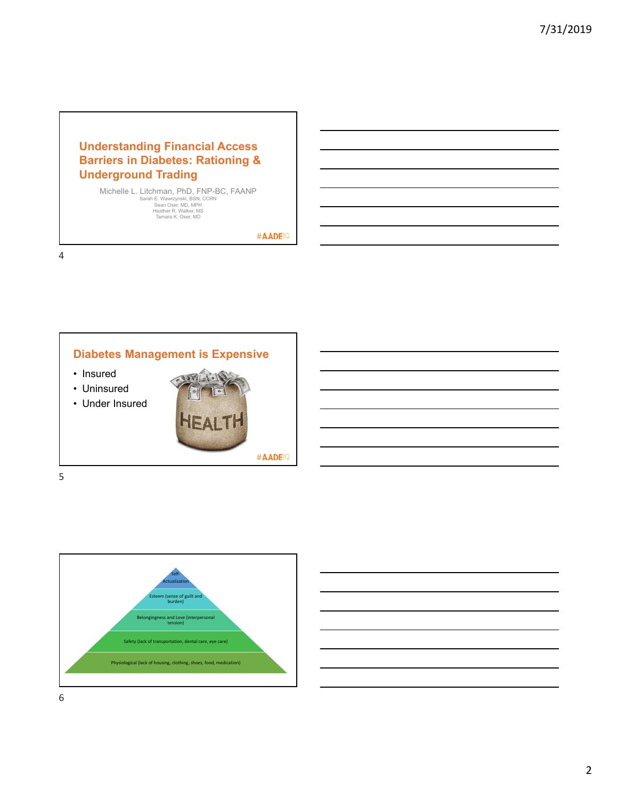# **Understanding Financial Access Barriers in Diabetes: Rationing & Underground Trading**

Michelle L. Litchman, PhD, FNP-BC, FAANP<br>
Sarah E. Wawrzynski, BSN, CCRN<br>
Sean Oser, MD, MPH<br>
Heather R. Walker, MS<br>
Tamara K. Oser, MD<br>
Tamara K. Oser, MD

#AADE<sup>19</sup>

4



5

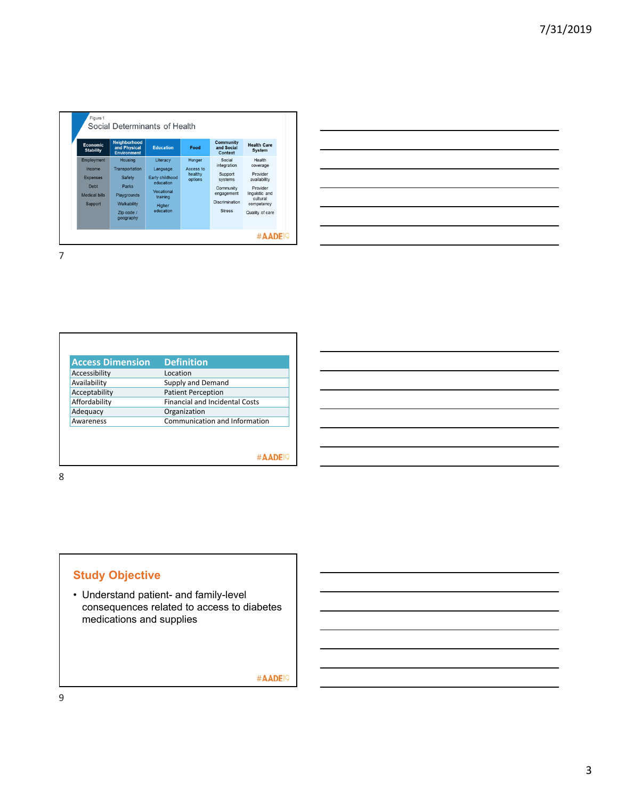| <b>Economic</b><br><b>Stability</b>                                                | <b>Neighborhood</b><br>and Physical<br><b>Environment</b>                                             | <b>Education</b>                                                                                      | Food                                      | <b>Community</b><br>and Social<br>Context                                                                        | <b>Health Care</b><br><b>System</b>                                                                                       |
|------------------------------------------------------------------------------------|-------------------------------------------------------------------------------------------------------|-------------------------------------------------------------------------------------------------------|-------------------------------------------|------------------------------------------------------------------------------------------------------------------|---------------------------------------------------------------------------------------------------------------------------|
| Employment<br>Income<br><b>Expenses</b><br>Debt<br><b>Medical bills</b><br>Support | Housing<br>Transportation<br>Safety<br>Parks<br>Playgrounds<br>Walkability<br>Zip code /<br>geography | Literacy<br>Language<br>Early childhood<br>education<br>Vocational<br>training<br>Higher<br>education | Hunger<br>Access to<br>healthy<br>options | Social<br>integration<br>Support<br>systems<br>Community<br>engagement<br><b>Discrimination</b><br><b>Stress</b> | Health<br>coverage<br>Provider<br>availability<br>Provider<br>linguistic and<br>cultural<br>competency<br>Quality of care |

|                                                                                                                  |  | <u> 1989 - Andrea Santa Alemania, amerikana amerikana amerikana amerikana amerikana amerikana amerikana amerikana</u> |  |
|------------------------------------------------------------------------------------------------------------------|--|-----------------------------------------------------------------------------------------------------------------------|--|
|                                                                                                                  |  | <u> 1989 - Johann Stoff, amerikansk politiker (* 1908)</u>                                                            |  |
| the contract of the contract of the contract of the contract of the contract of                                  |  | ____                                                                                                                  |  |
| and the control of the control of the control of the control of the control of the control of the control of the |  |                                                                                                                       |  |
|                                                                                                                  |  |                                                                                                                       |  |
|                                                                                                                  |  |                                                                                                                       |  |

7

| <b>Access Dimension</b> | <b>Definition</b>                     |
|-------------------------|---------------------------------------|
| Accessibility           | Location                              |
| Availability            | Supply and Demand                     |
| Acceptability           | <b>Patient Perception</b>             |
| Affordability           | <b>Financial and Incidental Costs</b> |
| Adequacy                | Organization                          |
| Awareness               | Communication and Information         |
|                         |                                       |
|                         |                                       |

8

# **Study Objective**

• Understand patient- and family-level consequences related to access to diabetes medications and supplies

#AADE<sup>19</sup>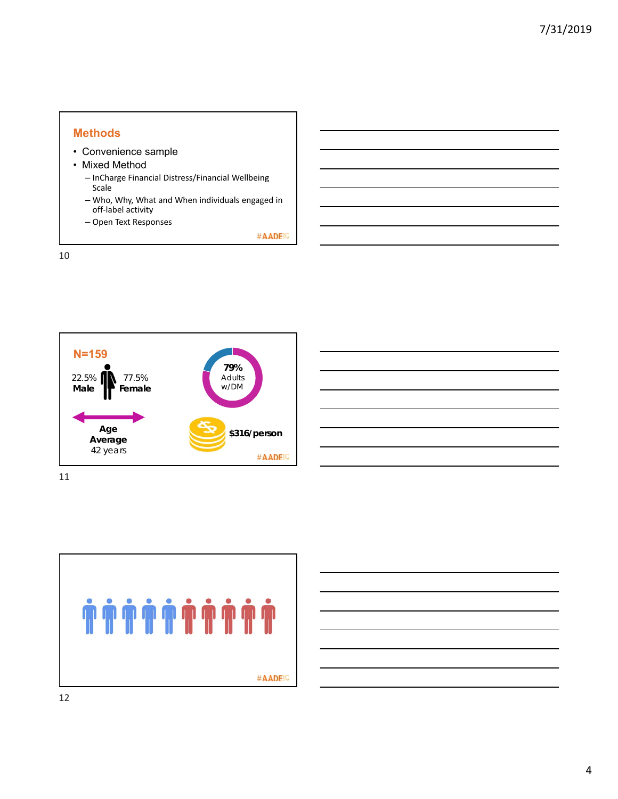#### **Methods**

- Convenience sample
- Mixed Method
	- InCharge Financial Distress/Financial Wellbeing Scale
	- Who, Why, What and When individuals engaged in off‐label activity
	- Open Text Responses

#AADE<sup>19</sup>







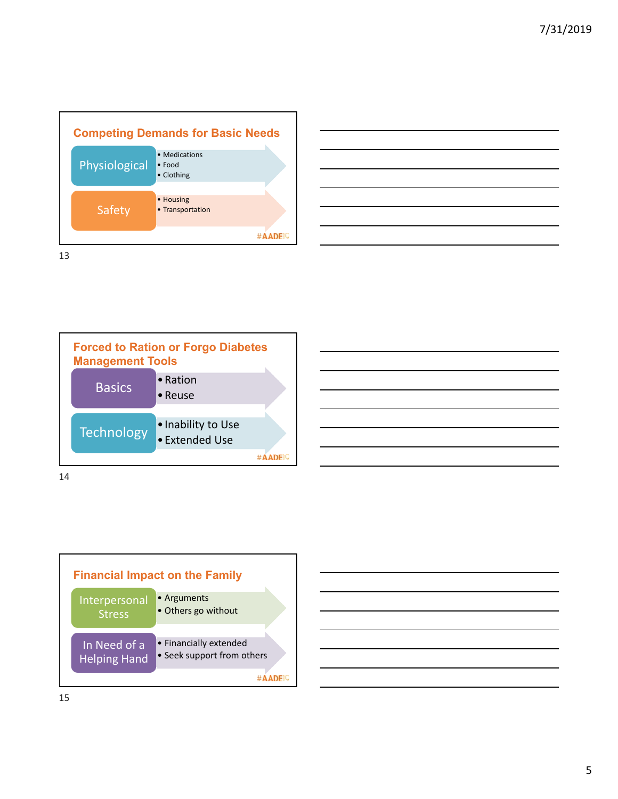









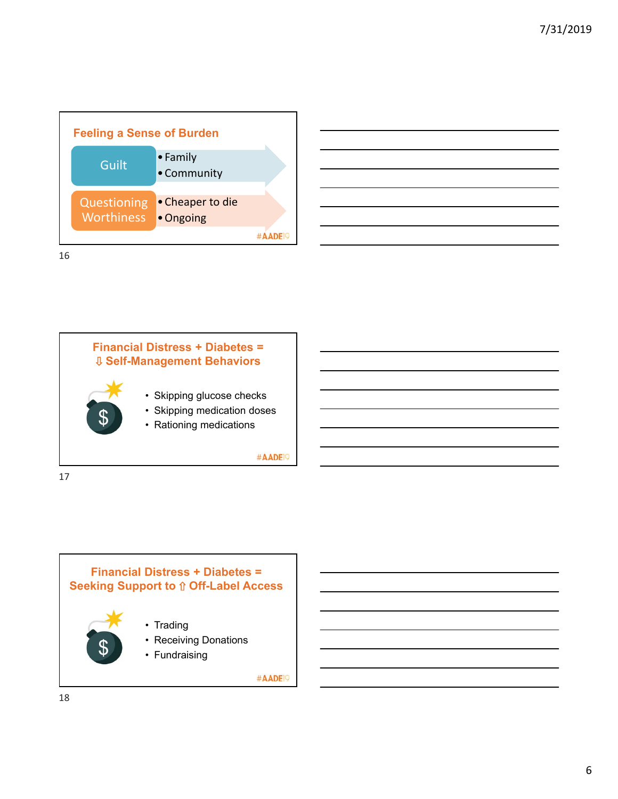





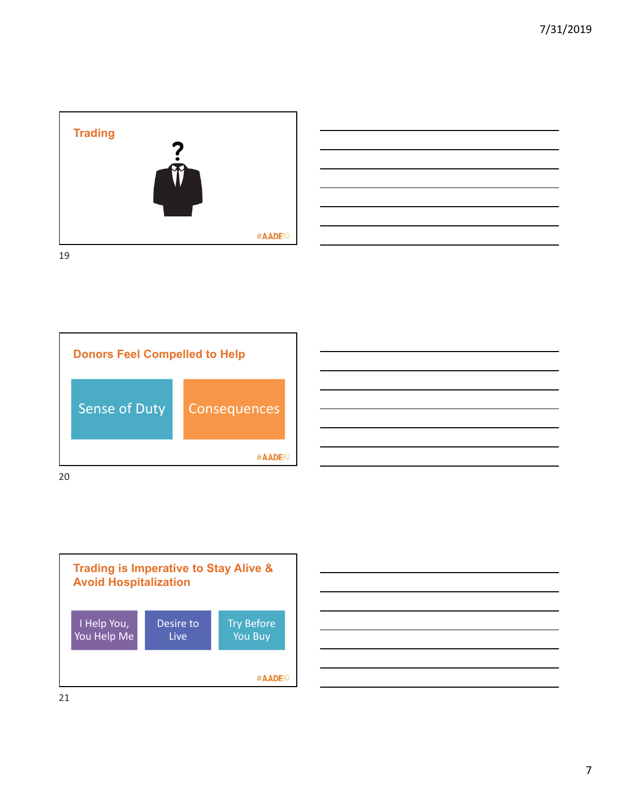









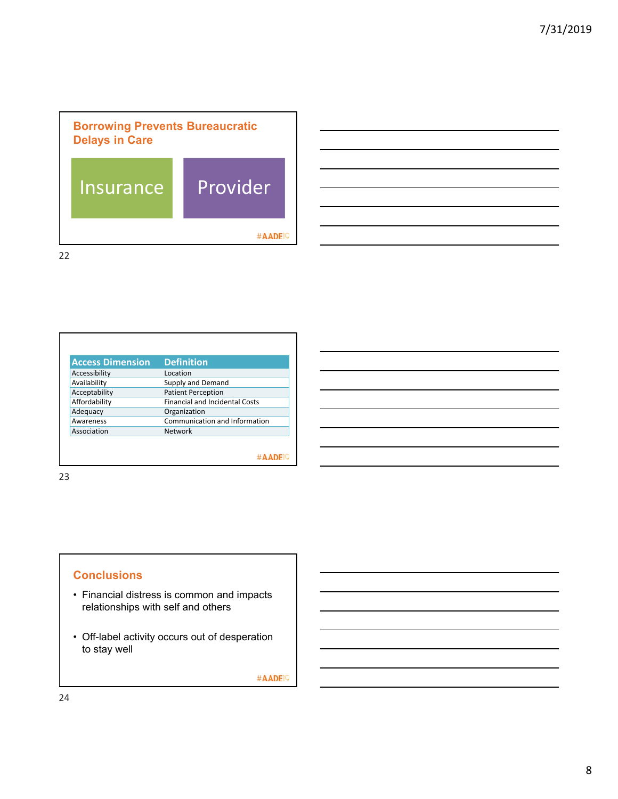

22

| Location<br>Supply and Demand<br><b>Patient Perception</b><br><b>Financial and Incidental Costs</b><br>Organization |
|---------------------------------------------------------------------------------------------------------------------|
|                                                                                                                     |
|                                                                                                                     |
|                                                                                                                     |
|                                                                                                                     |
|                                                                                                                     |
| Communication and Information                                                                                       |
| Network                                                                                                             |
|                                                                                                                     |
|                                                                                                                     |
|                                                                                                                     |

23

### **Conclusions**

- Financial distress is common and impacts relationships with self and others
- Off-label activity occurs out of desperation to stay well

#AADE<sup>19</sup>

٦